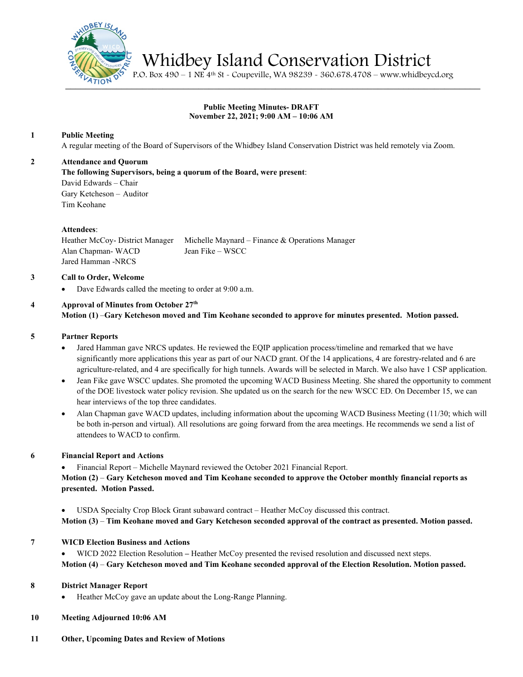

Whidbey Island Conservation District P.O. Box 490 – 1 NE 4th St - Coupeville, WA 98239 - 360.678.4708 – www.whidbeycd.org

# **Public Meeting Minutes- DRAFT November 22, 2021; 9:00 AM – 10:06 AM**

## **1 Public Meeting**

A regular meeting of the Board of Supervisors of the Whidbey Island Conservation District was held remotely via Zoom.

### **2 Attendance and Quorum**

**The following Supervisors, being a quorum of the Board, were present**:

David Edwards – Chair Gary Ketcheson – Auditor Tim Keohane

### **Attendees**:

Heather McCoy- District Manager Michelle Maynard – Finance & Operations Manager Alan Chapman- WACD Jean Fike – WSCC Jared Hamman -NRCS

### **3 Call to Order, Welcome**

Dave Edwards called the meeting to order at 9:00 a.m.

#### **4 Approval of Minutes from October 27th Motion (1)** –**Gary Ketcheson moved and Tim Keohane seconded to approve for minutes presented. Motion passed.**

### **5 Partner Reports**

- Jared Hamman gave NRCS updates. He reviewed the EQIP application process/timeline and remarked that we have significantly more applications this year as part of our NACD grant. Of the 14 applications, 4 are forestry-related and 6 are agriculture-related, and 4 are specifically for high tunnels. Awards will be selected in March. We also have 1 CSP application.
- Jean Fike gave WSCC updates. She promoted the upcoming WACD Business Meeting. She shared the opportunity to comment of the DOE livestock water policy revision. She updated us on the search for the new WSCC ED. On December 15, we can hear interviews of the top three candidates.
- Alan Chapman gave WACD updates, including information about the upcoming WACD Business Meeting (11/30; which will be both in-person and virtual). All resolutions are going forward from the area meetings. He recommends we send a list of attendees to WACD to confirm.

### **6 Financial Report and Actions**

• Financial Report – Michelle Maynard reviewed the October 2021 Financial Report.

**Motion (2)** – **Gary Ketcheson moved and Tim Keohane seconded to approve the October monthly financial reports as presented. Motion Passed.**

• USDA Specialty Crop Block Grant subaward contract – Heather McCoy discussed this contract.

**Motion (3)** – **Tim Keohane moved and Gary Ketcheson seconded approval of the contract as presented. Motion passed.**

### **7 WICD Election Business and Actions**

• WICD 2022 Election Resolution **–** Heather McCoy presented the revised resolution and discussed next steps. **Motion (4)** – **Gary Ketcheson moved and Tim Keohane seconded approval of the Election Resolution. Motion passed.**

### **8 District Manager Report**

Heather McCoy gave an update about the Long-Range Planning.

### **10 Meeting Adjourned 10:06 AM**

**11 Other, Upcoming Dates and Review of Motions**